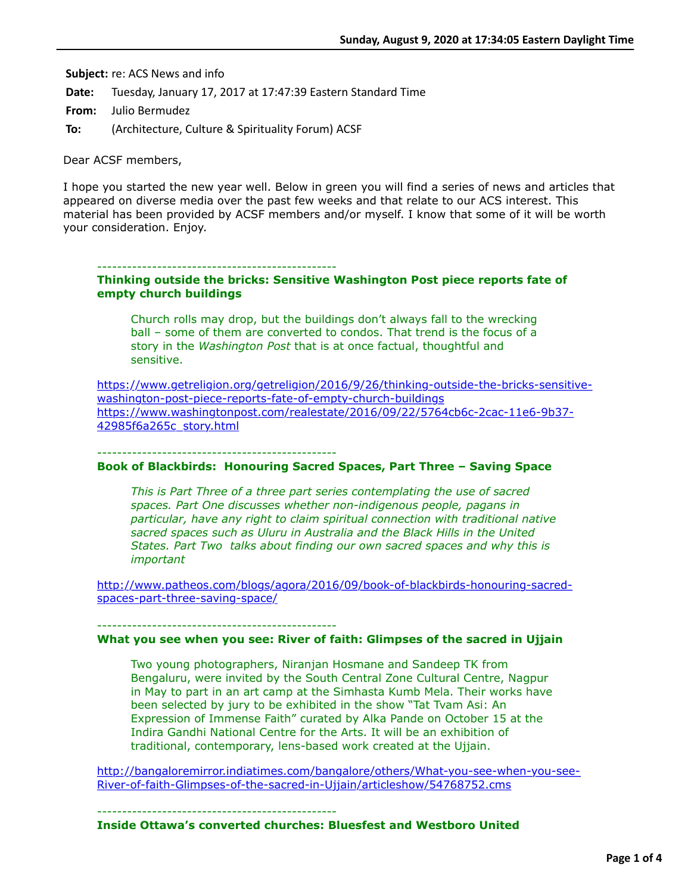**Subject:** re: ACS News and info

**Date:** Tuesday, January 17, 2017 at 17:47:39 Eastern Standard Time

**From:** Julio Bermudez

**To:** (Architecture, Culture & Spirituality Forum) ACSF

Dear ACSF members,

I hope you started the new year well. Below in green you will find a series of news and articles that appeared on diverse media over the past few weeks and that relate to our ACS interest. This material has been provided by ACSF members and/or myself. I know that some of it will be worth your consideration. Enjoy.

------------------------------------------------

### **Thinking outside the bricks: Sensitive Washington Post piece reports fate of empty church buildings**

Church rolls may drop, but the buildings don't always fall to the wrecking ball – some of them are converted to condos. That trend is the focus of a story in the *Washington Post* that is at once factual, thoughtful and sensitive.

[https://www.getreligion.org/getreligion/2016/9/26/thinking-outside-the-bricks-sensitive](https://www.getreligion.org/getreligion/2016/9/26/thinking-outside-the-bricks-sensitive-washington-post-piece-reports-fate-of-empty-church-buildings)washington-post-piece-reports-fate-of-empty-church-buildings [https://www.washingtonpost.com/realestate/2016/09/22/5764cb6c-2cac-11e6-9b37-](https://www.washingtonpost.com/realestate/2016/09/22/5764cb6c-2cac-11e6-9b37-42985f6a265c_story.html) 42985f6a265c\_story.html

------------------------------------------------

# **Book of Blackbirds: Honouring Sacred Spaces, Part Three – Saving Space**

*This is Part Three of a three part series contemplating the use of sacred spaces. Part One discusses whether non-indigenous people, pagans in particular, have any right to claim spiritual connection with traditional native sacred spaces such as Uluru in Australia and the Black Hills in the United States. Part Two talks about finding our own sacred spaces and why this is important*

[http://www.patheos.com/blogs/agora/2016/09/book-of-blackbirds-honouring-sacred](http://www.patheos.com/blogs/agora/2016/09/book-of-blackbirds-honouring-sacred-spaces-part-three-saving-space/)spaces-part-three-saving-space/

### **What you see when you see: River of faith: Glimpses of the sacred in Ujjain**

Two young photographers, Niranjan Hosmane and Sandeep TK from Bengaluru, were invited by the South Central Zone Cultural Centre, Nagpur in May to part in an art camp at the Simhasta Kumb Mela. Their works have been selected by jury to be exhibited in the show "Tat Tvam Asi: An Expression of Immense Faith" curated by Alka Pande on October 15 at the Indira Gandhi National Centre for the Arts. It will be an exhibition of traditional, contemporary, lens-based work created at the Ujjain.

[http://bangaloremirror.indiatimes.com/bangalore/others/What-you-see-when-you-see-](http://bangaloremirror.indiatimes.com/bangalore/others/What-you-see-when-you-see-River-of-faith-Glimpses-of-the-sacred-in-Ujjain/articleshow/54768752.cms)River-of-faith-Glimpses-of-the-sacred-in-Ujjain/articleshow/54768752.cms

------------------------------------------------

------------------------------------------------

### **Inside Ottawa's converted churches: Bluesfest and Westboro United**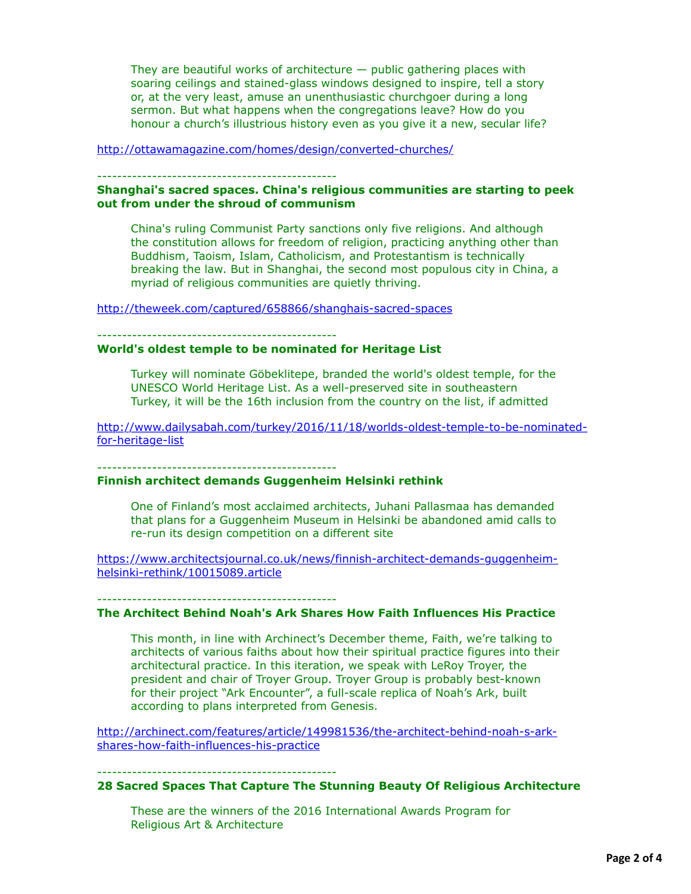They are beautiful works of architecture  $-$  public gathering places with soaring ceilings and stained-glass windows designed to inspire, tell a story or, at the very least, amuse an unenthusiastic churchgoer during a long sermon. But what happens when the congregations leave? How do you honour a church's illustrious history even as you give it a new, secular life?

<http://ottawamagazine.com/homes/design/converted-churches/>

------------------------------------------------

#### **Shanghai's sacred spaces. China's religious communities are starting to peek out from under the shroud of communism**

China's ruling Communist Party sanctions only five religions. And although the constitution allows for freedom of religion, practicing anything other than Buddhism, Taoism, Islam, Catholicism, and Protestantism is technically breaking the law. But in Shanghai, the second most populous city in China, a myriad of religious communities are quietly thriving.

<http://theweek.com/captured/658866/shanghais-sacred-spaces>

------------------------------------------------

## **World's oldest temple to be nominated for Heritage List**

Turkey will nominate Göbeklitepe, branded the world's oldest temple, for the UNESCO World Heritage List. As a well-preserved site in southeastern Turkey, it will be the 16th inclusion from the country on the list, if admitted

[http://www.dailysabah.com/turkey/2016/11/18/worlds-oldest-temple-to-be-nominated](http://www.dailysabah.com/turkey/2016/11/18/worlds-oldest-temple-to-be-nominated-for-heritage-list)for-heritage-list

------------------------------------------------

## **Finnish architect demands Guggenheim Helsinki rethink**

One of Finland's most acclaimed architects, Juhani Pallasmaa has demanded that plans for a Guggenheim Museum in Helsinki be abandoned amid calls to re-run its design competition on a different site

[https://www.architectsjournal.co.uk/news/finnish-architect-demands-guggenheim](https://www.architectsjournal.co.uk/news/finnish-architect-demands-guggenheim-helsinki-rethink/10015089.article)helsinki-rethink/10015089.article

------------------------------------------------

## **The Architect Behind Noah's Ark Shares How Faith Influences His Practice**

This month, in line with Archinect's December theme, Faith, we're talking to architects of various faiths about how their spiritual practice figures into their architectural practice. In this iteration, we speak with LeRoy Troyer, the president and chair of Troyer Group. Troyer Group is probably best-known for their project "Ark Encounter", a full-scale replica of Noah's Ark, built according to plans interpreted from Genesis.

[http://archinect.com/features/article/149981536/the-architect-behind-noah-s-ark](http://archinect.com/features/article/149981536/the-architect-behind-noah-s-ark-shares-how-faith-influences-his-practice)shares-how-faith-influences-his-practice

------------------------------------------------

## **28 Sacred Spaces That Capture The Stunning Beauty Of Religious Architecture**

These are the winners of the 2016 International Awards Program for Religious Art & Architecture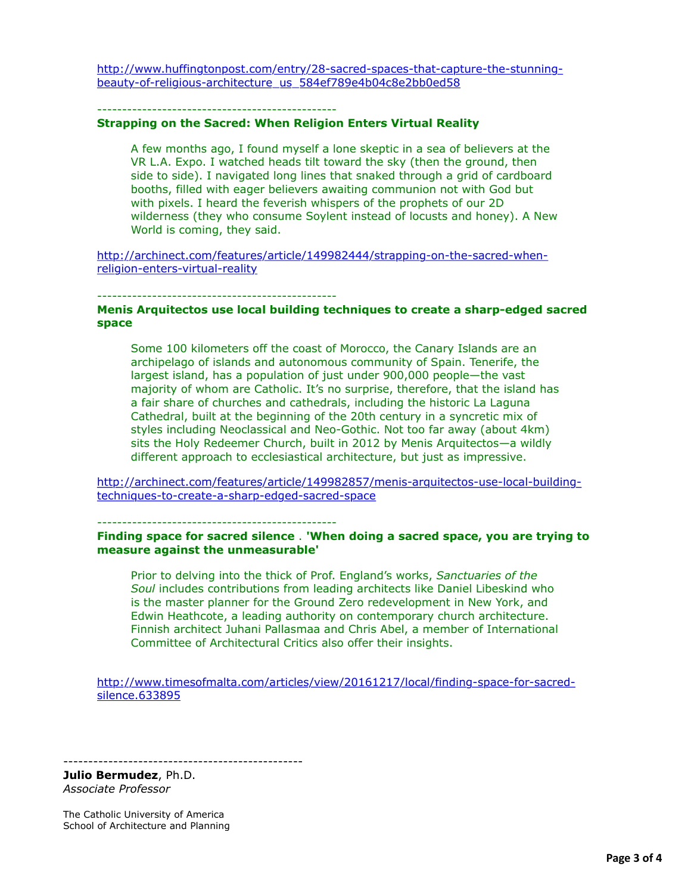[http://www.huffingtonpost.com/entry/28-sacred-spaces-that-capture-the-stunning](http://www.huffingtonpost.com/entry/28-sacred-spaces-that-capture-the-stunning-beauty-of-religious-architecture_us_584ef789e4b04c8e2bb0ed58)beauty-of-religious-architecture\_us\_584ef789e4b04c8e2bb0ed58

------------------------------------------------

### **Strapping on the Sacred: When Religion Enters Virtual Reality**

A few months ago, I found myself a lone skeptic in a sea of believers at the VR L.A. Expo. I watched heads tilt toward the sky (then the ground, then side to side). I navigated long lines that snaked through a grid of cardboard booths, filled with eager believers awaiting communion not with God but with pixels. I heard the feverish whispers of the prophets of our 2D wilderness (they who consume Soylent instead of locusts and honey). A New World is coming, they said.

[http://archinect.com/features/article/149982444/strapping-on-the-sacred-when](http://archinect.com/features/article/149982444/strapping-on-the-sacred-when-religion-enters-virtual-reality)religion-enters-virtual-reality

------------------------------------------------

### **Menis Arquitectos use local building techniques to create a sharp-edged sacred space**

Some 100 kilometers off the coast of Morocco, the Canary Islands are an archipelago of islands and autonomous community of Spain. Tenerife, the largest island, has a population of just under 900,000 people—the vast majority of whom are Catholic. It's no surprise, therefore, that the island has a fair share of churches and cathedrals, including the historic La Laguna Cathedral, built at the beginning of the 20th century in a syncretic mix of styles including Neoclassical and Neo-Gothic. Not too far away (about 4km) sits the Holy Redeemer Church, built in 2012 by Menis Arquitectos—a wildly different approach to ecclesiastical architecture, but just as impressive.

[http://archinect.com/features/article/149982857/menis-arquitectos-use-local-building](http://archinect.com/features/article/149982857/menis-arquitectos-use-local-building-techniques-to-create-a-sharp-edged-sacred-space)techniques-to-create-a-sharp-edged-sacred-space

------------------------------------------------

#### **Finding space for sacred silence** . **'When doing a sacred space, you are trying to measure against the unmeasurable'**

Prior to delving into the thick of Prof. England's works, *Sanctuaries of the Soul* includes contributions from leading architects like Daniel Libeskind who is the master planner for the Ground Zero redevelopment in New York, and Edwin Heathcote, a leading authority on contemporary church architecture. Finnish architect Juhani Pallasmaa and Chris Abel, a member of International Committee of Architectural Critics also offer their insights.

[http://www.timesofmalta.com/articles/view/20161217/local/finding-space-for-sacred](http://www.timesofmalta.com/articles/view/20161217/local/finding-space-for-sacred-silence.633895)silence.633895

------------------------------------------------ **Julio Bermudez**, Ph.D.

*Associate Professor*

The Catholic University of America School of Architecture and Planning